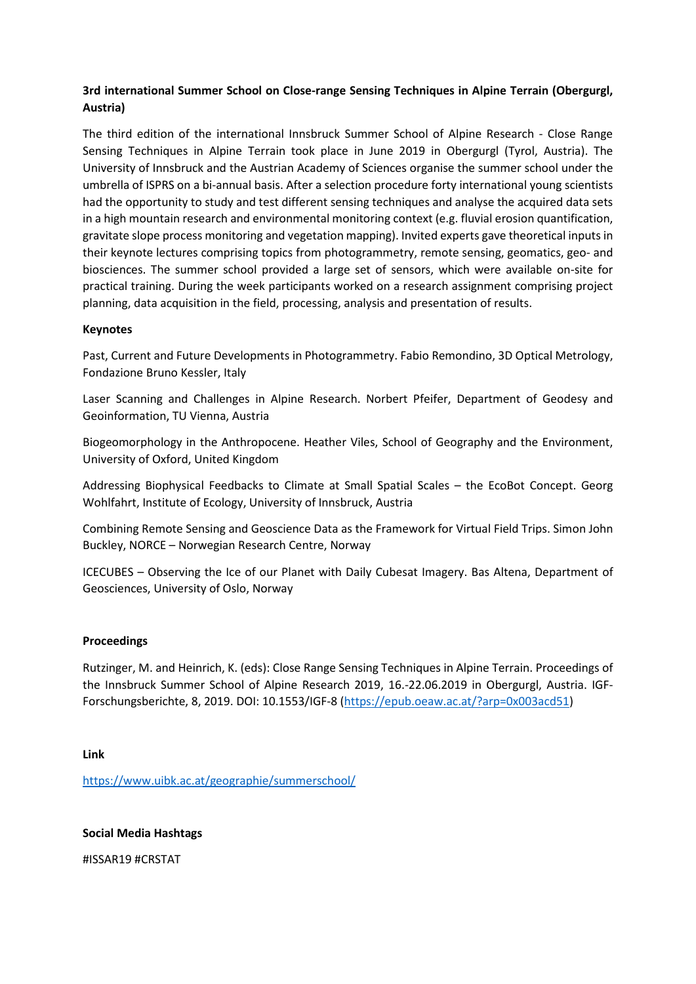# **3rd international Summer School on Close-range Sensing Techniques in Alpine Terrain (Obergurgl, Austria)**

The third edition of the international Innsbruck Summer School of Alpine Research - Close Range Sensing Techniques in Alpine Terrain took place in June 2019 in Obergurgl (Tyrol, Austria). The University of Innsbruck and the Austrian Academy of Sciences organise the summer school under the umbrella of ISPRS on a bi-annual basis. After a selection procedure forty international young scientists had the opportunity to study and test different sensing techniques and analyse the acquired data sets in a high mountain research and environmental monitoring context (e.g. fluvial erosion quantification, gravitate slope process monitoring and vegetation mapping). Invited experts gave theoretical inputsin their keynote lectures comprising topics from photogrammetry, remote sensing, geomatics, geo- and biosciences. The summer school provided a large set of sensors, which were available on-site for practical training. During the week participants worked on a research assignment comprising project planning, data acquisition in the field, processing, analysis and presentation of results.

## **Keynotes**

Past, Current and Future Developments in Photogrammetry. Fabio Remondino, 3D Optical Metrology, Fondazione Bruno Kessler, Italy

Laser Scanning and Challenges in Alpine Research. Norbert Pfeifer, Department of Geodesy and Geoinformation, TU Vienna, Austria

Biogeomorphology in the Anthropocene. Heather Viles, School of Geography and the Environment, University of Oxford, United Kingdom

Addressing Biophysical Feedbacks to Climate at Small Spatial Scales – the EcoBot Concept. Georg Wohlfahrt, Institute of Ecology, University of Innsbruck, Austria

Combining Remote Sensing and Geoscience Data as the Framework for Virtual Field Trips. Simon John Buckley, NORCE – Norwegian Research Centre, Norway

ICECUBES – Observing the Ice of our Planet with Daily Cubesat Imagery. Bas Altena, Department of Geosciences, University of Oslo, Norway

### **Proceedings**

Rutzinger, M. and Heinrich, K. (eds): Close Range Sensing Techniques in Alpine Terrain. Proceedings of the Innsbruck Summer School of Alpine Research 2019, 16.-22.06.2019 in Obergurgl, Austria. IGF-Forschungsberichte, 8, 2019. DOI: 10.1553/IGF-8 [\(https://epub.oeaw.ac.at/?arp=0x003acd51\)](https://epub.oeaw.ac.at/?arp=0x003acd51)

#### **Link**

<https://www.uibk.ac.at/geographie/summerschool/>

### **Social Media Hashtags**

#ISSAR19 #CRSTAT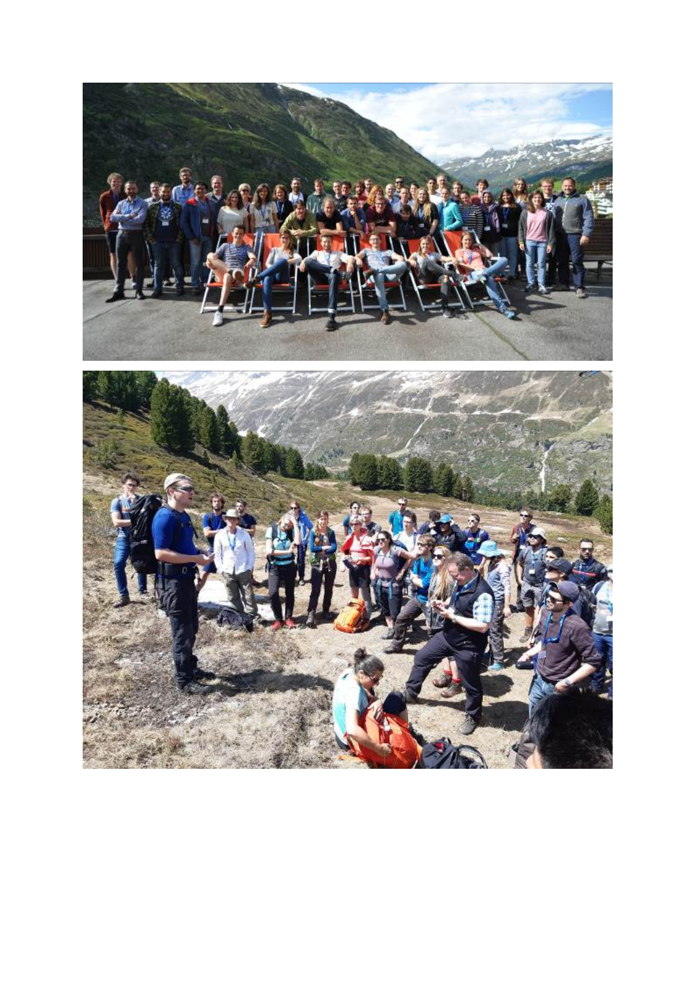